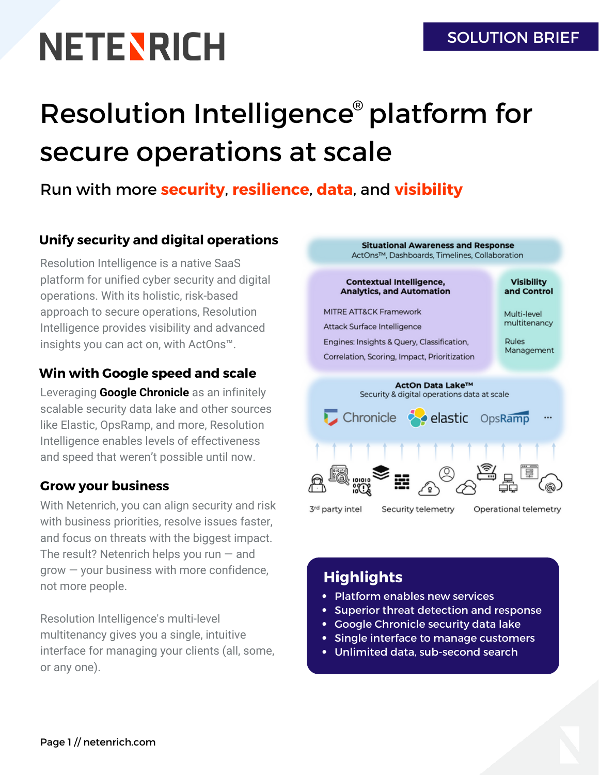# **NETENRICH**

# Resolution Intelligence<sup>®</sup> platform for secure operations at scale

### Run with more **security**, **resilience**, **data**, and **visibility**

#### **Unify security and digital operations**

Resolution Intelligence is a native SaaS platform for unified cyber security and digital operations. With its holistic, risk-based approach to secure operations, Resolution Intelligence provides visibility and advanced insights you can act on, with ActOns™.

#### **Win with Google speed and scale**

Leveraging **Google Chronicle** as an infinitely scalable security data lake and other sources like Elastic, OpsRamp, and more, Resolution Intelligence enables levels of effectiveness and speed that weren't possible until now.

#### **Grow your business**

With Netenrich, you can align security and risk with business priorities, resolve issues faster, and focus on threats with the biggest impact. The result? Netenrich helps you run — and grow — your business with more confidence, not more people.

Resolution Intelligence's multi-level multitenancy gives you a single, intuitive interface for managing your clients (all, some, or any one).



# **Highlights**

- Platform enables new services
- Superior threat detection and response
- Google Chronicle security data lake
- Single interface to manage customers
- Unlimited data, sub-second search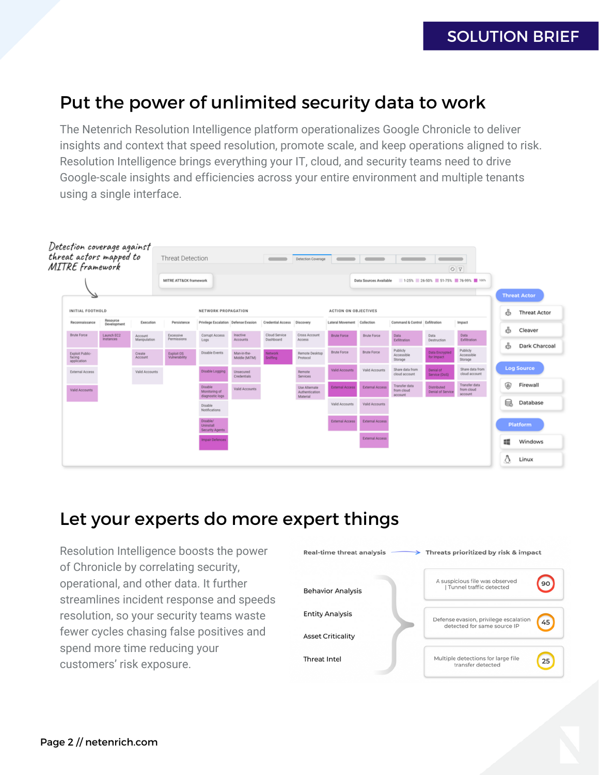#### SOLUTION BRIEF

# Put the power of unlimited security data to work

The Netenrich Resolution Intelligence platform operationalizes Google Chronicle to deliver insights and context that speed resolution, promote scale, and keep operations aligned to risk. Resolution Intelligence brings everything your IT, cloud, and security teams need to drive Google-scale insights and efficiencies across your entire environment and multiple tenants using a single interface.



#### Let your experts do more expert things

Resolution Intelligence boosts the power of Chronicle by correlating security, operational, and other data. It further streamlines incident response and speeds resolution, so your security teams waste fewer cycles chasing false positives and spend more time reducing your customers' risk exposure.

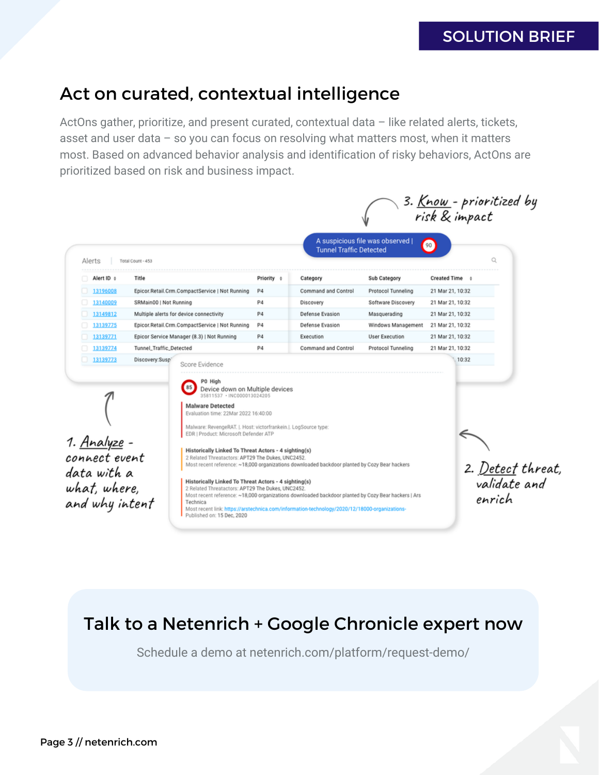#### SOLUTION BRIEF

# Act on curated, contextual intelligence

ActOns gather, prioritize, and present curated, contextual data - like related alerts, tickets, asset and user data – so you can focus on resolving what matters most, when it matters most. Based on advanced behavior analysis and identification of risky behaviors, ActOns are prioritized based on risk and business impact.

| Alerts                                                                                | Total Count - 453                              |                                                                                                                                                                                                                                                                  |                | <b>Tunnel Traffic Detected</b>                                                                                                                                                                                                                                                                        | A suspicious file was observed ( | 3. <u>Know</u> - prioritized by<br>risk & impact<br>90<br>O |                                          |
|---------------------------------------------------------------------------------------|------------------------------------------------|------------------------------------------------------------------------------------------------------------------------------------------------------------------------------------------------------------------------------------------------------------------|----------------|-------------------------------------------------------------------------------------------------------------------------------------------------------------------------------------------------------------------------------------------------------------------------------------------------------|----------------------------------|-------------------------------------------------------------|------------------------------------------|
| Alert ID +                                                                            | Title                                          |                                                                                                                                                                                                                                                                  | Priority o     | Category                                                                                                                                                                                                                                                                                              | Sub Category                     | Created Time 0                                              |                                          |
| 13196008                                                                              |                                                | Epicor.Retail.Crm.CompactService   Not Running                                                                                                                                                                                                                   |                | Command and Control                                                                                                                                                                                                                                                                                   | Protocol Tunneling               | 21 Mar 21, 10:32                                            |                                          |
| 13140009                                                                              | SRMain00   Not Running                         |                                                                                                                                                                                                                                                                  | P <sub>4</sub> | Discovery                                                                                                                                                                                                                                                                                             | Software Discovery               | 21 Mar 21, 10:32                                            |                                          |
| 13149812                                                                              | Multiple alerts for device connectivity        |                                                                                                                                                                                                                                                                  | P <sub>4</sub> | Defense Evasion                                                                                                                                                                                                                                                                                       | Masquerading                     | 21 Mar 21, 10:32                                            |                                          |
| 13139775                                                                              | Epicor.Retail.Crm.CompactService   Not Running |                                                                                                                                                                                                                                                                  | P <sub>4</sub> | Defense Evasion                                                                                                                                                                                                                                                                                       | Windows Management               | 21 Mar 21, 10:32                                            |                                          |
| 13139771                                                                              | Epicor Service Manager (8.3)   Not Running     |                                                                                                                                                                                                                                                                  | P4             | Execution                                                                                                                                                                                                                                                                                             | <b>User Execution</b>            | 21 Mar 21, 10:32                                            |                                          |
| 13139774                                                                              | Tunnel_Traffic_Detected                        |                                                                                                                                                                                                                                                                  | P4             | Command and Control                                                                                                                                                                                                                                                                                   | Protocol Tunneling               | 21 Mar 21, 10:32                                            |                                          |
|                                                                                       |                                                | P0 High<br>85<br>Device down on Multiple devices<br>35811537 · INC000013024205<br><b>Malware Detected</b><br>Evaluation time: 22Mar 2022 16:40:00<br>Malware: RevengeRAT. J. Host: victorfrankein.J. LogSource type:<br>EDR   Product: Microsoft Defender ATP    |                |                                                                                                                                                                                                                                                                                                       |                                  |                                                             |                                          |
| 1. <u>Analyze</u> -<br>connect event<br>data with a<br>what, where,<br>and why intent |                                                | Historically Linked To Threat Actors - 4 sighting(s)<br>2 Related Threatactors: APT29 The Dukes, UNC2452.<br>Historically Linked To Threat Actors - 4 sighting(s)<br>2 Related Threatactors: APT29 The Dukes, UNC2452.<br>Technica<br>Published on: 15 Dec, 2020 |                | Most recent reference: ~18,000 organizations downloaded backdoor planted by Cozy Bear hackers<br>Most recent reference: ~18,000 organizations downloaded backdoor planted by Cozy Bear hackers   Ars<br>Most recent link: https://arstechnica.com/information-technology/2020/12/18000-organizations- |                                  | enrich                                                      | 2. <u>Detect</u> threat,<br>validate and |

# Talk to a Netenrich + Google Chronicle expert now

Schedule a demo at netenrich.com/platform/request-demo/